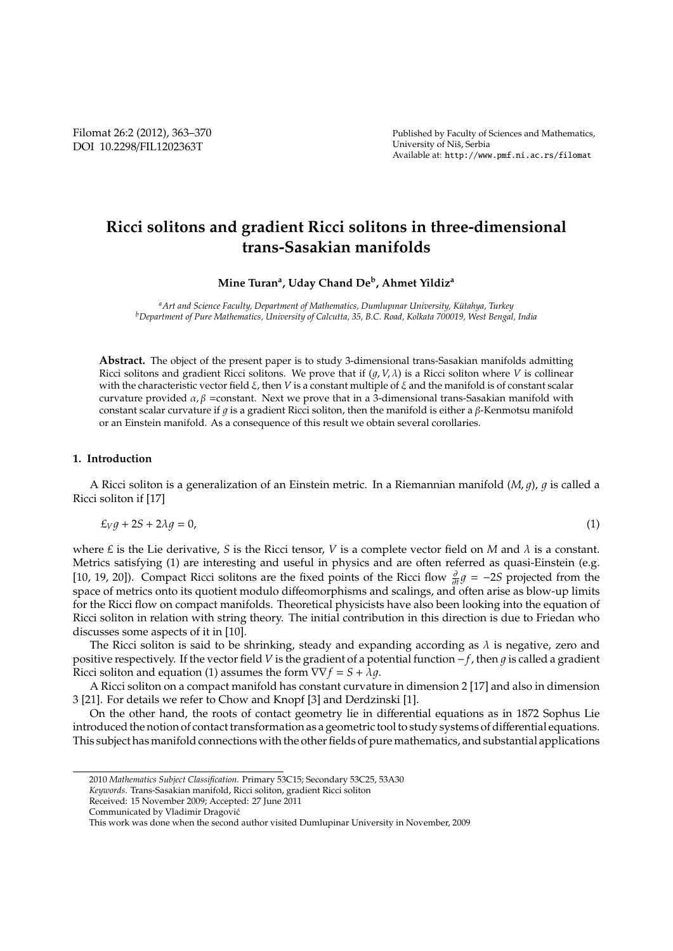# **Ricci solitons and gradient Ricci solitons in three-dimensional trans-Sasakian manifolds**

**Mine Turan<sup>a</sup> , Uday Chand De<sup>b</sup> , Ahmet Yildiz<sup>a</sup>**

<sup>a</sup> Art and Science Faculty, Department of Mathematics, Dumlupınar University, Kütahya, Turkey *<sup>b</sup>Department of Pure Mathematics, University of Calcutta, 35, B.C. Road, Kolkata 700019, West Bengal, India*

**Abstract.** The object of the present paper is to study 3-dimensional trans-Sasakian manifolds admitting Ricci solitons and gradient Ricci solitons. We prove that if  $(q, V, \lambda)$  is a Ricci soliton where *V* is collinear with the characteristic vector field ξ, then *V* is a constant multiple of ξ and the manifold is of constant scalar curvature provided  $\alpha$ ,  $\beta$  =constant. Next we prove that in a 3-dimensional trans-Sasakian manifold with constant scalar curvature if q is a gradient Ricci soliton, then the manifold is either a  $\beta$ -Kenmotsu manifold or an Einstein manifold. As a consequence of this result we obtain several corollaries.

### **1. Introduction**

A Ricci soliton is a generalization of an Einstein metric. In a Riemannian manifold  $(M, q)$ , q is called a Ricci soliton if [17]

$$
\pounds_V g + 2S + 2\lambda g = 0,\tag{1}
$$

where  $E$  is the Lie derivative, *S* is the Ricci tensor, *V* is a complete vector field on *M* and  $\lambda$  is a constant. Metrics satisfying (1) are interesting and useful in physics and are often referred as quasi-Einstein (e.g. [10, 19, 20]). Compact Ricci solitons are the fixed points of the Ricci flow  $\frac{\partial}{\partial t}g = -25$  projected from the space of metrics onto its quotient modulo diffeomorphisms and scalings, and often arise as blow-up limits for the Ricci flow on compact manifolds. Theoretical physicists have also been looking into the equation of Ricci soliton in relation with string theory. The initial contribution in this direction is due to Friedan who discusses some aspects of it in [10].

The Ricci soliton is said to be shrinking, steady and expanding according as  $\lambda$  is negative, zero and positive respectively. If the vector field *V* is the gradient of a potential function −*f*, then 1 is called a gradient Ricci soliton and equation (1) assumes the form  $\nabla \nabla f = S + \lambda g$ .

A Ricci soliton on a compact manifold has constant curvature in dimension 2 [17] and also in dimension 3 [21]. For details we refer to Chow and Knopf [3] and Derdzinski [1].

On the other hand, the roots of contact geometry lie in differential equations as in 1872 Sophus Lie introduced the notion of contact transformation as a geometric tool to study systems of differential equations. This subject has manifold connections with the other fields of pure mathematics, and substantial applications

<sup>2010</sup> *Mathematics Subject Classification*. Primary 53C15; Secondary 53C25, 53A30

*Keywords*. Trans-Sasakian manifold, Ricci soliton, gradient Ricci soliton

Received: 15 November 2009; Accepted: 27 June 2011

Communicated by Vladimir Dragovic´

This work was done when the second author visited Dumlupinar University in November, 2009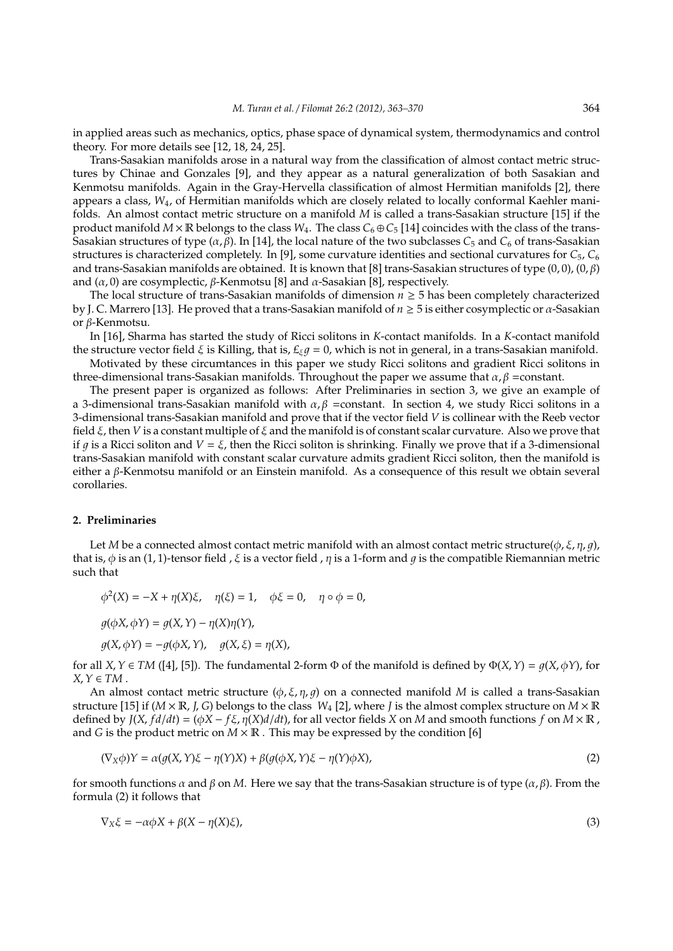in applied areas such as mechanics, optics, phase space of dynamical system, thermodynamics and control theory. For more details see [12, 18, 24, 25].

Trans-Sasakian manifolds arose in a natural way from the classification of almost contact metric structures by Chinae and Gonzales [9], and they appear as a natural generalization of both Sasakian and Kenmotsu manifolds. Again in the Gray-Hervella classification of almost Hermitian manifolds [2], there appears a class, *W*4, of Hermitian manifolds which are closely related to locally conformal Kaehler manifolds. An almost contact metric structure on a manifold *M* is called a trans-Sasakian structure [15] if the product manifold  $M \times \mathbb{R}$  belongs to the class  $W_4$ . The class  $C_6 \oplus C_5$  [14] coincides with the class of the trans-Sasakian structures of type  $(\alpha, \beta)$ . In [14], the local nature of the two subclasses  $C_5$  and  $C_6$  of trans-Sasakian structures is characterized completely. In [9], some curvature identities and sectional curvatures for *C*5, *C*<sup>6</sup> and trans-Sasakian manifolds are obtained. It is known that [8] trans-Sasakian structures of type (0, 0), (0, β) and  $(\alpha, 0)$  are cosymplectic,  $\beta$ -Kenmotsu [8] and  $\alpha$ -Sasakian [8], respectively.

The local structure of trans-Sasakian manifolds of dimension *n* ≥ 5 has been completely characterized by J. C. Marrero [13]. He proved that a trans-Sasakian manifold of *n* ≥ 5 is either cosymplectic or α-Sasakian or β-Kenmotsu.

In [16], Sharma has started the study of Ricci solitons in *K*-contact manifolds. In a *K*-contact manifold the structure vector field  $\xi$  is Killing, that is,  $E_{\xi}q = 0$ , which is not in general, in a trans-Sasakian manifold.

Motivated by these circumtances in this paper we study Ricci solitons and gradient Ricci solitons in three-dimensional trans-Sasakian manifolds. Throughout the paper we assume that  $\alpha, \beta$  =constant.

The present paper is organized as follows: After Preliminaries in section 3, we give an example of a 3-dimensional trans-Sasakian manifold with  $\alpha$ , β =constant. In section 4, we study Ricci solitons in a 3-dimensional trans-Sasakian manifold and prove that if the vector field *V* is collinear with the Reeb vector field ξ, then *V* is a constant multiple of ξ and the manifold is of constant scalar curvature. Also we prove that if q is a Ricci soliton and  $V = \xi$ , then the Ricci soliton is shrinking. Finally we prove that if a 3-dimensional trans-Sasakian manifold with constant scalar curvature admits gradient Ricci soliton, then the manifold is either a β-Kenmotsu manifold or an Einstein manifold. As a consequence of this result we obtain several corollaries.

#### **2. Preliminaries**

Let *M* be a connected almost contact metric manifold with an almost contact metric structure( $\phi$ ,  $\xi$ ,  $\eta$ ,  $q$ ), that is, φ is an (1, 1)-tensor field , ξ is a vector field , η is a 1-form and g is the compatible Riemannian metric such that

$$
\phi^2(X) = -X + \eta(X)\xi, \quad \eta(\xi) = 1, \quad \phi\xi = 0, \quad \eta \circ \phi = 0,
$$
  

$$
g(\phi X, \phi Y) = g(X, Y) - \eta(X)\eta(Y),
$$
  

$$
g(X, \phi Y) = -g(\phi X, Y), \quad g(X, \xi) = \eta(X),
$$

for all *X*,  $Y \in TM$  ([4], [5]). The fundamental 2-form  $\Phi$  of the manifold is defined by  $\Phi(X, Y) = q(X, \phi Y)$ , for  $X, Y \in TM$ .

An almost contact metric structure  $(\phi, \xi, \eta, g)$  on a connected manifold *M* is called a trans-Sasakian structure [15] if  $(M \times \mathbb{R})$ , *G*) belongs to the class  $W_4$  [2], where *J* is the almost complex structure on  $M \times \mathbb{R}$ defined by  $J(X, fd/dt) = (\phi X - f\xi, \eta(X)d/dt)$ , for all vector fields *X* on *M* and smooth functions *f* on  $M \times \mathbb{R}$ , and *G* is the product metric on  $M \times \mathbb{R}$ . This may be expressed by the condition [6]

$$
(\nabla_X \phi)Y = \alpha(g(X, Y)\xi - \eta(Y)X) + \beta(g(\phi X, Y)\xi - \eta(Y)\phi X),
$$
\n(2)

for smooth functions  $\alpha$  and  $\beta$  on *M*. Here we say that the trans-Sasakian structure is of type  $(\alpha, \beta)$ . From the formula (2) it follows that

$$
\nabla_X \xi = -\alpha \phi X + \beta (X - \eta(X)\xi),\tag{3}
$$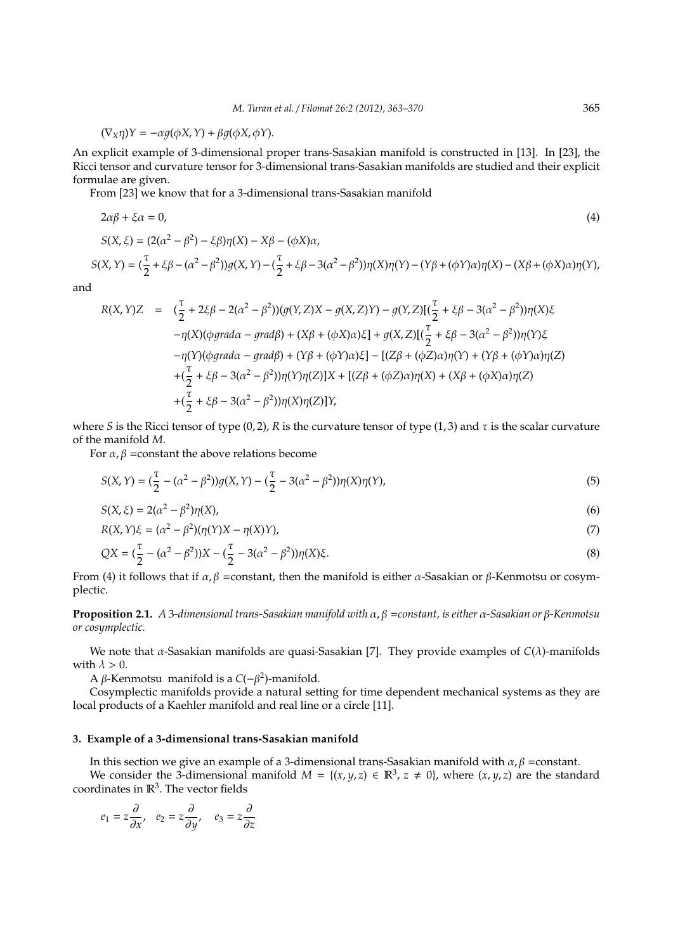$$
(\nabla_X \eta)Y = -\alpha g(\phi X, Y) + \beta g(\phi X, \phi Y).
$$

An explicit example of 3-dimensional proper trans-Sasakian manifold is constructed in [13]. In [23], the Ricci tensor and curvature tensor for 3-dimensional trans-Sasakian manifolds are studied and their explicit formulae are given.

From [23] we know that for a 3-dimensional trans-Sasakian manifold

$$
2\alpha\beta + \xi\alpha = 0,
$$
\n
$$
S(X,\xi) = (2(\alpha^2 - \beta^2) - \xi\beta)\eta(X) - X\beta - (\phi X)\alpha,
$$
\n
$$
S(X,Y) = (\frac{\tau}{2} + \xi\beta - (\alpha^2 - \beta^2))g(X,Y) - (\frac{\tau}{2} + \xi\beta - 3(\alpha^2 - \beta^2))\eta(X)\eta(Y) - (Y\beta + (\phi Y)\alpha)\eta(X) - (X\beta + (\phi X)\alpha)\eta(Y),
$$
\n(4)

and

$$
R(X,Y)Z = (\frac{\tau}{2} + 2\xi\beta - 2(\alpha^2 - \beta^2))(g(Y,Z)X - g(X,Z)Y) - g(Y,Z)[(\frac{\tau}{2} + \xi\beta - 3(\alpha^2 - \beta^2))\eta(X)\xi
$$
  
\n
$$
-\eta(X)(\varphi\varphi\varphi\varphi - \varphi\varphi\varphi) + (X\beta + (\varphi X)\alpha)\xi] + g(X,Z)[(\frac{\tau}{2} + \xi\beta - 3(\alpha^2 - \beta^2))\eta(Y)\xi
$$
  
\n
$$
-\eta(Y)(\varphi\varphi\varphi - \varphi\varphi\varphi) + (Y\beta + (\varphi Y)\alpha)\xi] - [(Z\beta + (\varphi Z)\alpha)\eta(Y) + (Y\beta + (\varphi Y)\alpha)\eta(Z)
$$
  
\n
$$
+(\frac{\tau}{2} + \xi\beta - 3(\alpha^2 - \beta^2))\eta(Y)\eta(Z)]X + [(Z\beta + (\varphi Z)\alpha)\eta(X) + (X\beta + (\varphi X)\alpha)\eta(Z)
$$
  
\n
$$
+(\frac{\tau}{2} + \xi\beta - 3(\alpha^2 - \beta^2))\eta(X)\eta(Z)]Y,
$$

where *S* is the Ricci tensor of type (0, 2), *R* is the curvature tensor of type (1, 3) and  $\tau$  is the scalar curvature of the manifold *M*.

For  $\alpha$ ,  $\beta$  =constant the above relations become

$$
S(X,Y) = (\frac{\tau}{2} - (\alpha^2 - \beta^2))g(X,Y) - (\frac{\tau}{2} - 3(\alpha^2 - \beta^2))\eta(X)\eta(Y),
$$
\n(5)

$$
S(X,\xi) = 2(\alpha^2 - \beta^2)\eta(X),\tag{6}
$$

$$
R(X,Y)\xi = (\alpha^2 - \beta^2)(\eta(Y)X - \eta(X)Y),\tag{7}
$$

$$
QX = (\frac{\tau}{2} - (\alpha^2 - \beta^2))X - (\frac{\tau}{2} - 3(\alpha^2 - \beta^2))\eta(X)\xi.
$$
\n(8)

From (4) it follows that if  $\alpha$ , β =constant, then the manifold is either α-Sasakian or β-Kenmotsu or cosymplectic.

**Proposition 2.1.** *A* 3*-dimensional trans-Sasakian manifold with* α, β =*constant, is either* α*-Sasakian or* β*-Kenmotsu or cosymplectic.*

We note that α-Sasakian manifolds are quasi-Sasakian [7]. They provide examples of *C*(λ)-manifolds with  $\lambda > 0$ .

A β-Kenmotsu manifold is a  $C(-β<sup>2</sup>)$ -manifold.

Cosymplectic manifolds provide a natural setting for time dependent mechanical systems as they are local products of a Kaehler manifold and real line or a circle [11].

# **3. Example of a 3-dimensional trans-Sasakian manifold**

In this section we give an example of a 3-dimensional trans-Sasakian manifold with  $\alpha$ ,  $\beta$  =constant.

We consider the 3-dimensional manifold  $M = \{(x, y, z) \in \mathbb{R}^3, z \neq 0\}$ , where  $(x, y, z)$  are the standard coordinates in  $\mathbb{R}^3$ . The vector fields

$$
e_1 = z\frac{\partial}{\partial x}, \quad e_2 = z\frac{\partial}{\partial y}, \quad e_3 = z\frac{\partial}{\partial z}
$$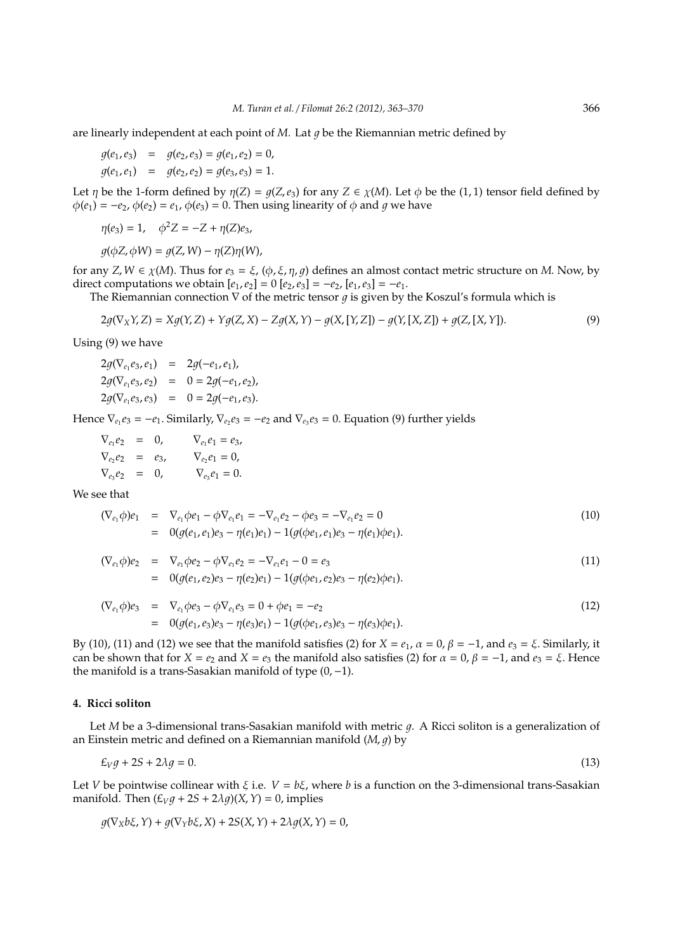are linearly independent at each point of  $M$ . Lat  $q$  be the Riemannian metric defined by

$$
g(e_1, e_3) = g(e_2, e_3) = g(e_1, e_2) = 0,
$$
  

$$
g(e_1, e_1) = g(e_2, e_2) = g(e_3, e_3) = 1.
$$

Let *η* be the 1-form defined by  $\eta(Z) = q(Z, e_3)$  for any  $Z \in \chi(M)$ . Let  $\phi$  be the (1, 1) tensor field defined by  $\phi(e_1) = -e_2$ ,  $\phi(e_2) = e_1$ ,  $\phi(e_3) = 0$ . Then using linearity of  $\phi$  and  $q$  we have

$$
\eta(e_3) = 1, \quad \phi^2 Z = -Z + \eta(Z)e_3,
$$

$$
g(\phi Z, \phi W) = g(Z, W) - \eta(Z)\eta(W),
$$

for any *Z*,  $W \in \chi(M)$ . Thus for  $e_3 = \xi$ ,  $(\phi, \xi, \eta, g)$  defines an almost contact metric structure on *M*. Now, by direct computations we obtain  $[e_1, e_2] = 0 [e_2, e_3] = -e_2$ ,  $[e_1, e_3] = -e_1$ .

The Riemannian connection  $\nabla$  of the metric tensor q is given by the Koszul's formula which is

$$
2g(\nabla_X Y, Z) = Xg(Y, Z) + Yg(Z, X) - Zg(X, Y) - g(X, [Y, Z]) - g(Y, [X, Z]) + g(Z, [X, Y]).
$$
\n(9)

Using (9) we have

$$
2g(\nabla_{e_1}e_3, e_1) = 2g(-e_1, e_1),
$$
  
\n
$$
2g(\nabla_{e_1}e_3, e_2) = 0 = 2g(-e_1, e_2),
$$
  
\n
$$
2g(\nabla_{e_1}e_3, e_3) = 0 = 2g(-e_1, e_3).
$$

Hence  $\nabla_{e_1}e_3 = -e_1$ . Similarly,  $\nabla_{e_2}e_3 = -e_2$  and  $\nabla_{e_3}e_3 = 0$ . Equation (9) further yields

$$
\nabla_{e_1} e_2 = 0, \nabla_{e_1} e_1 = e_3, \n\nabla_{e_2} e_2 = e_3, \nabla_{e_2} e_1 = 0, \n\nabla_{e_3} e_2 = 0, \nabla_{e_3} e_1 = 0.
$$

We see that

$$
(\nabla_{e_1} \phi) e_1 = \nabla_{e_1} \phi e_1 - \phi \nabla_{e_1} e_1 = -\nabla_{e_1} e_2 - \phi e_3 = -\nabla_{e_1} e_2 = 0
$$
  
= 
$$
0(g(e_1, e_1)e_3 - \eta(e_1)e_1) - 1(g(\phi e_1, e_1)e_3 - \eta(e_1)\phi e_1).
$$
 (10)

$$
(\nabla_{e_1} \phi) e_2 = \nabla_{e_1} \phi e_2 - \phi \nabla_{e_1} e_2 = -\nabla_{e_1} e_1 - 0 = e_3
$$
  
\n
$$
= 0(g(e_1, e_2)e_3 - \eta(e_2)e_1) - 1(g(\phi e_1, e_2)e_3 - \eta(e_2)\phi e_1).
$$
\n(11)

$$
(\nabla_{e_1}\phi)e_3 = \nabla_{e_1}\phi e_3 - \phi \nabla_{e_1}e_3 = 0 + \phi e_1 = -e_2
$$
  
= 
$$
0(g(e_1, e_3)e_3 - \eta(e_3)e_1) - 1(g(\phi e_1, e_3)e_3 - \eta(e_3)\phi e_1).
$$
 (12)

By (10), (11) and (12) we see that the manifold satisfies (2) for  $X = e_1$ ,  $\alpha = 0$ ,  $\beta = -1$ , and  $e_3 = \xi$ . Similarly, it can be shown that for  $X = e_2$  and  $X = e_3$  the manifold also satisfies (2) for  $\alpha = 0$ ,  $\beta = -1$ , and  $e_3 = \xi$ . Hence the manifold is a trans-Sasakian manifold of type (0,−1).

## **4. Ricci soliton**

Let *M* be a 3-dimensional trans-Sasakian manifold with metric g. A Ricci soliton is a generalization of an Einstein metric and defined on a Riemannian manifold  $(M, g)$  by

$$
\pounds_V g + 2S + 2\lambda g = 0. \tag{13}
$$

Let *V* be pointwise collinear with  $\xi$  i.e.  $V = b\xi$ , where *b* is a function on the 3-dimensional trans-Sasakian manifold. Then  $(E_Vq + 2S + 2\lambda q)(X, Y) = 0$ , implies

$$
g(\nabla_X b\xi, Y) + g(\nabla_Y b\xi, X) + 2S(X, Y) + 2\lambda g(X, Y) = 0,
$$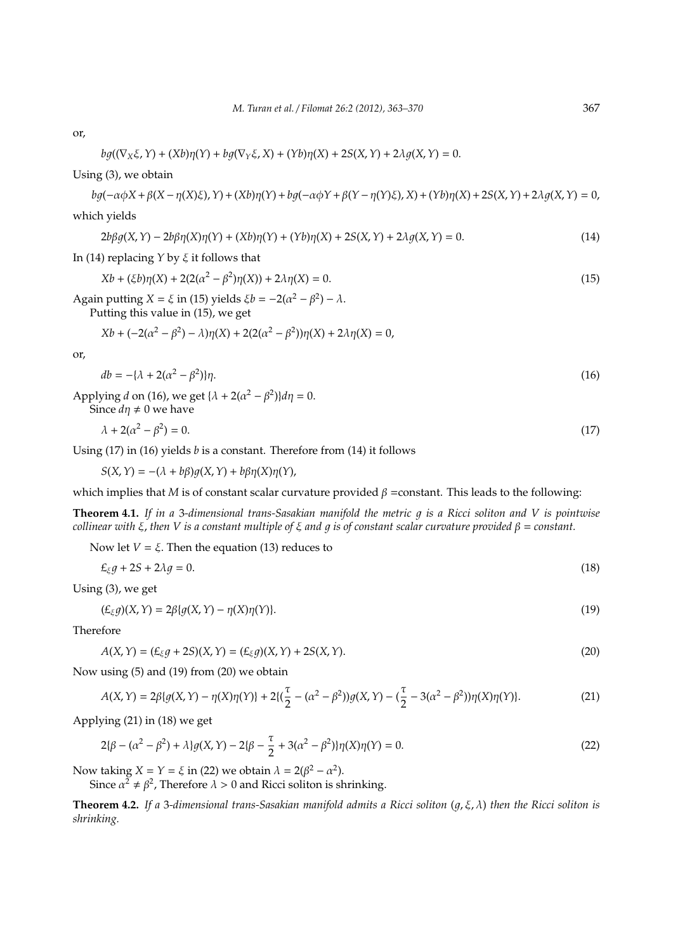or,

$$
bg((\nabla_X \xi, Y) + (Xb)\eta(Y) + bg(\nabla_Y \xi, X) + (Yb)\eta(X) + 2S(X, Y) + 2\lambda g(X, Y) = 0.
$$

Using (3), we obtain

$$
bg(-\alpha\phi X + \beta(X - \eta(X)\xi), Y) + (Xb)\eta(Y) + bg(-\alpha\phi Y + \beta(Y - \eta(Y)\xi), X) + (Yb)\eta(X) + 2S(X, Y) + 2\lambda g(X, Y) = 0,
$$

which yields

$$
2b\beta g(X,Y) - 2b\beta \eta(X)\eta(Y) + (Xb)\eta(Y) + (Yb)\eta(X) + 2S(X,Y) + 2\lambda g(X,Y) = 0.
$$
\n(14)

In (14) replacing *Y* by ξ it follows that

$$
Xb + (\xi b)\eta(X) + 2(2(\alpha^2 - \beta^2)\eta(X)) + 2\lambda \eta(X) = 0.
$$
\n(15)

Again putting *X* =  $\xi$  in (15) yields  $\xi b = -2(\alpha^2 - \beta^2) - \lambda$ .

Putting this value in (15), we get

$$
Xb + (-2(\alpha^2 - \beta^2) - \lambda)\eta(X) + 2(2(\alpha^2 - \beta^2))\eta(X) + 2\lambda\eta(X) = 0,
$$

or,

$$
db = -\{\lambda + 2(\alpha^2 - \beta^2)\}\eta. \tag{16}
$$

Applying *d* on (16), we get  $\{\lambda + 2(\alpha^2 - \beta^2)\}d\eta = 0$ . Since  $d\eta \neq 0$  we have

$$
\lambda + 2(\alpha^2 - \beta^2) = 0. \tag{17}
$$

Using (17) in (16) yields *b* is a constant. Therefore from (14) it follows

 $S(X, Y) = -(\lambda + b\beta)q(X, Y) + b\beta\eta(X)\eta(Y),$ 

which implies that *M* is of constant scalar curvature provided  $\beta$  =constant. This leads to the following:

**Theorem 4.1.** If in a 3-dimensional trans-Sasakian manifold the metric q is a Ricci soliton and V is pointwise *collinear with*  $ξ$ , *then*  $V$  *is a constant multiple of*  $ξ$  *and q is of constant scalar curvature provided*  $β = constant$ .

Now let 
$$
V = \xi
$$
. Then the equation (13) reduces to

$$
\mathcal{L}_{\xi}g + 2S + 2\lambda g = 0. \tag{18}
$$

Using (3), we get

$$
(\mathcal{L}_{\xi}g)(X,Y) = 2\beta\{g(X,Y) - \eta(X)\eta(Y)\}.
$$
\n(19)

Therefore

$$
A(X, Y) = (E_{\xi}g + 2S)(X, Y) = (E_{\xi}g)(X, Y) + 2S(X, Y).
$$
\n(20)

Now using (5) and (19) from (20) we obtain

$$
A(X,Y) = 2\beta\{g(X,Y) - \eta(X)\eta(Y)\} + 2\{(\frac{\tau}{2} - (\alpha^2 - \beta^2))g(X,Y) - (\frac{\tau}{2} - 3(\alpha^2 - \beta^2))\eta(X)\eta(Y)\}.
$$
 (21)

Applying (21) in (18) we get

$$
2\{\beta - (\alpha^2 - \beta^2) + \lambda\}g(X, Y) - 2\{\beta - \frac{\tau}{2} + 3(\alpha^2 - \beta^2)\}\eta(X)\eta(Y) = 0.
$$
\n(22)

Now taking  $X = Y = \xi$  in (22) we obtain  $\lambda = 2(\beta^2 - \alpha^2)$ .

Since  $\alpha^2 \neq \beta^2$ , Therefore  $\lambda > 0$  and Ricci soliton is shrinking.

**Theorem 4.2.** *If a* 3*-dimensional trans-Sasakian manifold admits a Ricci soliton* (1, ξ, λ) *then the Ricci soliton is shrinking.*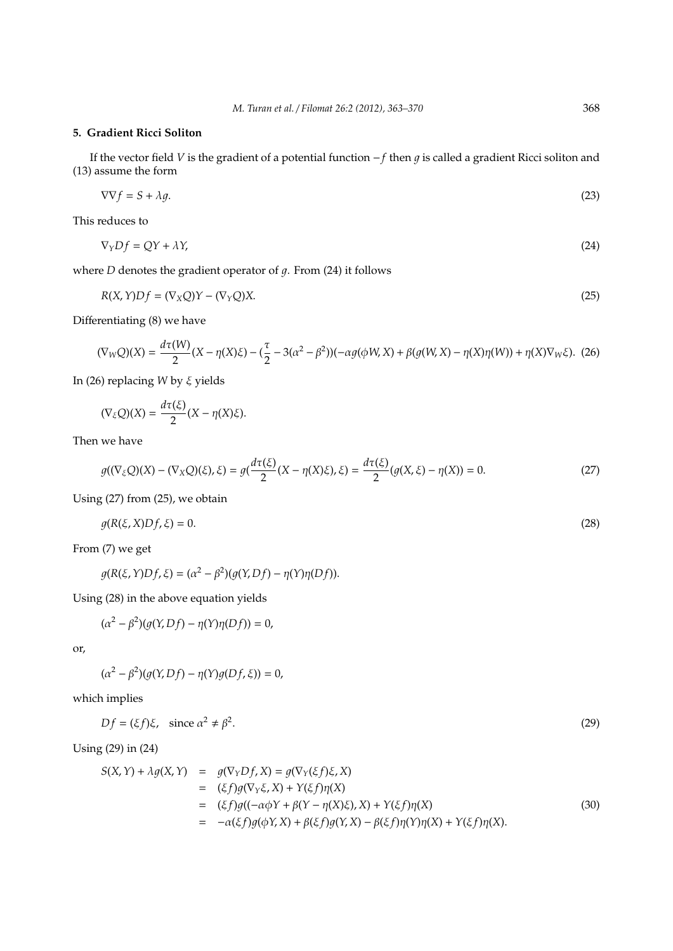# **5. Gradient Ricci Soliton**

If the vector field *V* is the gradient of a potential function −*f* then *g* is called a gradient Ricci soliton and (13) assume the form

$$
\nabla \nabla f = S + \lambda g. \tag{23}
$$

This reduces to

$$
\nabla_Y Df = QY + \lambda Y,\tag{24}
$$

where  $D$  denotes the gradient operator of  $q$ . From (24) it follows

$$
R(X,Y)Df = (\nabla_X Q)Y - (\nabla_Y Q)X.
$$
\n(25)

Differentiating (8) we have

$$
(\nabla_W Q)(X) = \frac{d\tau(W)}{2}(X - \eta(X)\xi) - (\frac{\tau}{2} - 3(\alpha^2 - \beta^2))(-\alpha g(\phi W, X) + \beta(g(W, X) - \eta(X)\eta(W)) + \eta(X)\nabla_W\xi). \tag{26}
$$

In (26) replacing *W* by ξ yields

$$
(\nabla_{\xi}Q)(X) = \frac{d\tau(\xi)}{2}(X - \eta(X)\xi).
$$

Then we have

$$
g((\nabla_{\xi}Q)(X) - (\nabla_{X}Q)(\xi), \xi) = g(\frac{d\tau(\xi)}{2}(X - \eta(X)\xi), \xi) = \frac{d\tau(\xi)}{2}(g(X, \xi) - \eta(X)) = 0.
$$
 (27)

Using (27) from (25), we obtain

$$
g(R(\xi, X)Df, \xi) = 0. \tag{28}
$$

From (7) we get

 $\overline{\phantom{a}}$ 

$$
g(R(\xi, Y)Df, \xi) = (\alpha^2 - \beta^2)(g(Y, Df) - \eta(Y)\eta(Df)).
$$

Using (28) in the above equation yields

$$
(\alpha^2 - \beta^2)(g(Y, Df) - \eta(Y)\eta(Df)) = 0,
$$

or,

$$
(\alpha^2 - \beta^2)(g(Y, Df) - \eta(Y)g(Df, \xi)) = 0,
$$

which implies

$$
Df = (\xi f)\xi, \quad \text{since } \alpha^2 \neq \beta^2. \tag{29}
$$

Using (29) in (24)

$$
S(X,Y) + \lambda g(X,Y) = g(\nabla_Y Df, X) = g(\nabla_Y (\xi f) \xi, X)
$$
  
\n
$$
= (\xi f)g(\nabla_Y \xi, X) + Y(\xi f)\eta(X)
$$
  
\n
$$
= (\xi f)g((-\alpha \phi Y + \beta(Y - \eta(X)\xi), X) + Y(\xi f)\eta(X))
$$
  
\n
$$
= -\alpha(\xi f)g(\phi Y, X) + \beta(\xi f)g(Y, X) - \beta(\xi f)\eta(Y)\eta(X) + Y(\xi f)\eta(X). \tag{30}
$$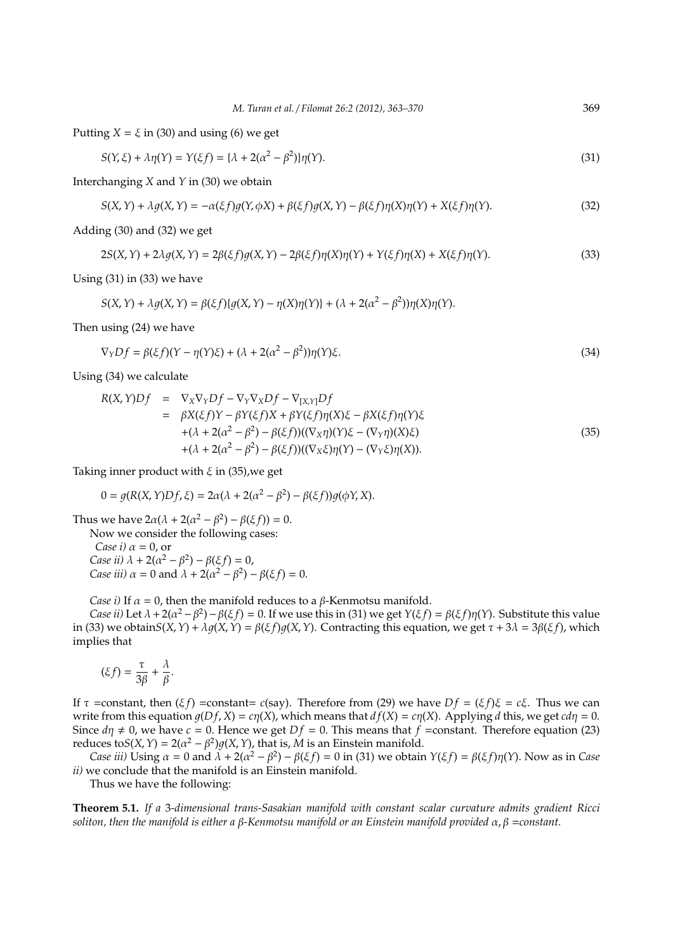Putting  $X = \xi$  in (30) and using (6) we get

$$
S(Y,\xi) + \lambda \eta(Y) = Y(\xi f) = {\lambda + 2(\alpha^2 - \beta^2)}\eta(Y). \tag{31}
$$

Interchanging *X* and *Y* in (30) we obtain

$$
S(X,Y) + \lambda g(X,Y) = -\alpha(\xi f)g(Y,\phi X) + \beta(\xi f)g(X,Y) - \beta(\xi f)\eta(X)\eta(Y) + X(\xi f)\eta(Y). \tag{32}
$$

Adding (30) and (32) we get

$$
2S(X,Y) + 2\lambda g(X,Y) = 2\beta(\xi f)g(X,Y) - 2\beta(\xi f)\eta(X)\eta(Y) + Y(\xi f)\eta(X) + X(\xi f)\eta(Y). \tag{33}
$$

Using (31) in (33) we have

$$
S(X,Y) + \lambda g(X,Y) = \beta(\xi f) \{g(X,Y) - \eta(X)\eta(Y)\} + (\lambda + 2(\alpha^2 - \beta^2))\eta(X)\eta(Y).
$$

Then using (24) we have

$$
\nabla_Y Df = \beta(\xi f)(Y - \eta(Y)\xi) + (\lambda + 2(\alpha^2 - \beta^2))\eta(Y)\xi.
$$
\n(34)

Using (34) we calculate

$$
R(X,Y)Df = \nabla_X \nabla_Y Df - \nabla_Y \nabla_X Df - \nabla_{[X,Y]} Df
$$
  
\n
$$
= \beta X(\xi f)Y - \beta Y(\xi f)X + \beta Y(\xi f) \eta(X)\xi - \beta X(\xi f) \eta(Y)\xi
$$
  
\n
$$
+ (\lambda + 2(\alpha^2 - \beta^2) - \beta(\xi f))((\nabla_X \eta)(Y)\xi - (\nabla_Y \eta)(X)\xi)
$$
  
\n
$$
+ (\lambda + 2(\alpha^2 - \beta^2) - \beta(\xi f))((\nabla_X \xi) \eta(Y) - (\nabla_Y \xi) \eta(X)).
$$
\n(35)

Taking inner product with  $\xi$  in (35), we get

$$
0 = g(R(X, Y)Df, \xi) = 2\alpha(\lambda + 2(\alpha^2 - \beta^2) - \beta(\xi f))g(\phi Y, X).
$$

Thus we have  $2\alpha(\lambda + 2(\alpha^2 - \beta^2) - \beta(\xi f)) = 0$ . Now we consider the following cases: *Case i)*  $\alpha = 0$ , or *Case ii*)  $\lambda + 2(\alpha^2 - \beta^2) - \beta(\xi f) = 0$ , *Case iii)*  $\alpha = 0$  and  $\lambda + 2(\alpha^2 - \beta^2) - \beta(\xi f) = 0$ .

*Case i)* If  $\alpha = 0$ , then the manifold reduces to a  $\beta$ -Kenmotsu manifold.

*Case ii*) Let  $\lambda + 2(\alpha^2 - \beta^2) - \beta(\xi f) = 0$ . If we use this in (31) we get  $Y(\xi f) = \beta(\xi f)\eta(Y)$ . Substitute this value in (33) we obtain $S(X, Y) + \lambda q(X, Y) = \beta(\xi f)q(X, Y)$ . Contracting this equation, we get  $\tau + 3\lambda = 3\beta(\xi f)$ , which implies that

$$
(\xi f) = \frac{\tau}{3\beta} + \frac{\lambda}{\beta}.
$$

If τ =constant, then  $(ξ f)$  =constant= *c*(say). Therefore from (29) we have  $Df = (ξ f)ξ = cξ$ . Thus we can write from this equation  $q(Df, X) = c\eta(X)$ , which means that  $df(X) = c\eta(X)$ . Applying *d* this, we get  $cd\eta = 0$ . Since  $d\eta \neq 0$ , we have  $c = 0$ . Hence we get  $Df = 0$ . This means that  $f = constant$ . Therefore equation (23) reduces to $S(X, Y) = 2(\alpha^2 - \beta^2)g(X, Y)$ , that is, *M* is an Einstein manifold.

*Case iii*) Using  $\alpha = 0$  and  $\lambda + 2(\alpha^2 - \beta^2) - \beta(\xi f) = 0$  in (31) we obtain  $Y(\xi f) = \beta(\xi f)\eta(Y)$ . Now as in *Case ii)* we conclude that the manifold is an Einstein manifold.

Thus we have the following:

**Theorem 5.1.** *If a* 3*-dimensional trans-Sasakian manifold with constant scalar curvature admits gradient Ricci soliton, then the manifold is either a* β*-Kenmotsu manifold or an Einstein manifold provided* α, β =*constant.*